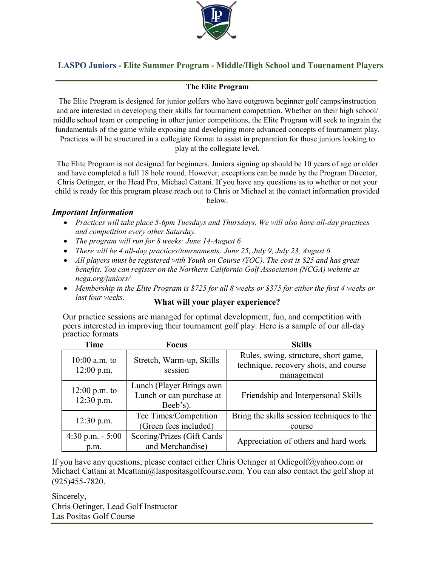

## **LASPO Juniors - Elite Summer Program - Middle/High School and Tournament Players**

## **The Elite Program**

The Elite Program is designed for junior golfers who have outgrown beginner golf camps/instruction and are interested in developing their skills for tournament competition. Whether on their high school/ middle school team or competing in other junior competitions, the Elite Program will seek to ingrain the fundamentals of the game while exposing and developing more advanced concepts of tournament play. Practices will be structured in a collegiate format to assist in preparation for those juniors looking to

play at the collegiate level.

The Elite Program is not designed for beginners. Juniors signing up should be 10 years of age or older and have completed a full 18 hole round. However, exceptions can be made by the Program Director, Chris Oetinger, or the Head Pro, Michael Cattani. If you have any questions as to whether or not your child is ready for this program please reach out to Chris or Michael at the contact information provided below.

## *Important Information*

- *Practices will take place 5-6pm Tuesdays and Thursdays. We will also have all-day practices and competition every other Saturday.*
- *The program will run for 8 weeks: June 14-August 6*
- *There will be 4 all-day practices/tournaments: June 25, July 9, July 23, August 6*
- *All players must be registered with Youth on Course (YOC). The cost is \$25 and has great benefits. You can register on the Northern Californio Golf Association (NCGA) website at ncga.org/juniors/*
- *Membership in the Elite Program is \$725 for all 8 weeks or \$375 for either the first 4 weeks or last four weeks.* **What will your player experience?**

Our practice sessions are managed for optimal development, fun, and competition with peers interested in improving their tournament golf play. Here is a sample of our all-day practice formats

| Time                            | <b>Focus</b>                                                     | <b>Skills</b>                                                                               |
|---------------------------------|------------------------------------------------------------------|---------------------------------------------------------------------------------------------|
| $10:00$ a.m. to<br>$12:00$ p.m. | Stretch, Warm-up, Skills<br>session                              | Rules, swing, structure, short game,<br>technique, recovery shots, and course<br>management |
| $12:00$ p.m. to<br>$12:30$ p.m. | Lunch (Player Brings own<br>Lunch or can purchase at<br>Beeb's). | Friendship and Interpersonal Skills                                                         |
| $12:30$ p.m.                    | Tee Times/Competition<br>(Green fees included)                   | Bring the skills session techniques to the<br>course                                        |
| 4:30 p.m. $-5:00$<br>p.m.       | Scoring/Prizes (Gift Cards<br>and Merchandise)                   | Appreciation of others and hard work                                                        |

If you have any questions, please contact either Chris Oetinger at Odiegolf@yahoo.com or Michael Cattani at Mcattani@laspositasgolfcourse.com. You can also contact the golf shop at (925)455-7820.

Sincerely, Chris Oetinger, Lead Golf Instructor Las Positas Golf Course